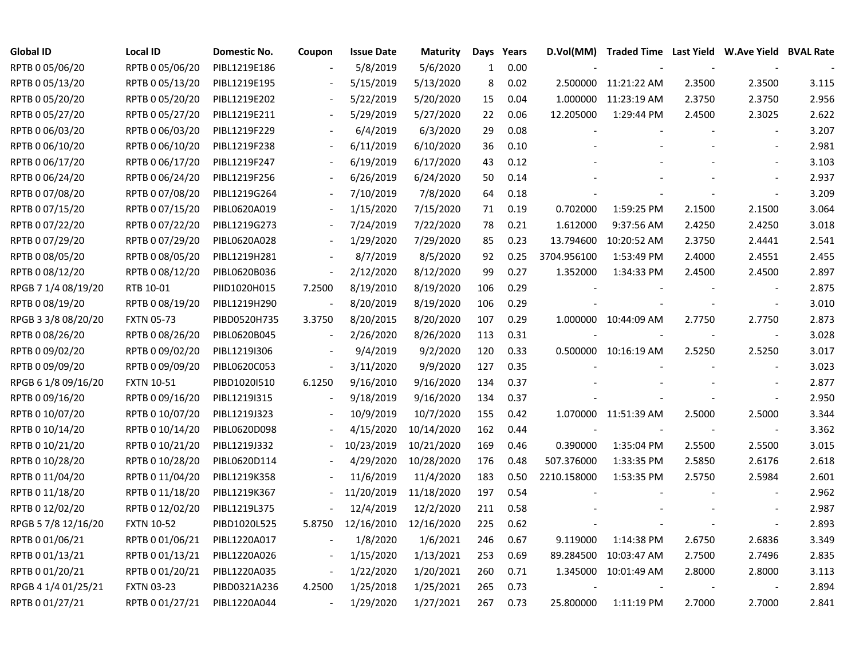| <b>Global ID</b>    | <b>Local ID</b>   | Domestic No. | Coupon                   | <b>Issue Date</b> | <b>Maturity</b> | Days | Years | D.Vol(MM)   | Traded Time Last Yield W.Ave Yield BVAL Rate |        |                          |       |
|---------------------|-------------------|--------------|--------------------------|-------------------|-----------------|------|-------|-------------|----------------------------------------------|--------|--------------------------|-------|
| RPTB 0 05/06/20     | RPTB 0 05/06/20   | PIBL1219E186 |                          | 5/8/2019          | 5/6/2020        | 1    | 0.00  |             |                                              |        |                          |       |
| RPTB 0 05/13/20     | RPTB 0 05/13/20   | PIBL1219E195 |                          | 5/15/2019         | 5/13/2020       | 8    | 0.02  | 2.500000    | 11:21:22 AM                                  | 2.3500 | 2.3500                   | 3.115 |
| RPTB 0 05/20/20     | RPTB 0 05/20/20   | PIBL1219E202 |                          | 5/22/2019         | 5/20/2020       | 15   | 0.04  | 1.000000    | 11:23:19 AM                                  | 2.3750 | 2.3750                   | 2.956 |
| RPTB 0 05/27/20     | RPTB 0 05/27/20   | PIBL1219E211 |                          | 5/29/2019         | 5/27/2020       | 22   | 0.06  | 12.205000   | 1:29:44 PM                                   | 2.4500 | 2.3025                   | 2.622 |
| RPTB 0 06/03/20     | RPTB 0 06/03/20   | PIBL1219F229 |                          | 6/4/2019          | 6/3/2020        | 29   | 0.08  |             |                                              |        | $\sim$                   | 3.207 |
| RPTB 0 06/10/20     | RPTB 0 06/10/20   | PIBL1219F238 | $\blacksquare$           | 6/11/2019         | 6/10/2020       | 36   | 0.10  |             |                                              |        | $\sim$                   | 2.981 |
| RPTB 0 06/17/20     | RPTB 0 06/17/20   | PIBL1219F247 | $\overline{\phantom{a}}$ | 6/19/2019         | 6/17/2020       | 43   | 0.12  |             |                                              |        |                          | 3.103 |
| RPTB 0 06/24/20     | RPTB 0 06/24/20   | PIBL1219F256 |                          | 6/26/2019         | 6/24/2020       | 50   | 0.14  |             |                                              |        |                          | 2.937 |
| RPTB 0 07/08/20     | RPTB 0 07/08/20   | PIBL1219G264 |                          | 7/10/2019         | 7/8/2020        | 64   | 0.18  |             |                                              |        | $\sim$                   | 3.209 |
| RPTB 0 07/15/20     | RPTB 0 07/15/20   | PIBL0620A019 |                          | 1/15/2020         | 7/15/2020       | 71   | 0.19  | 0.702000    | 1:59:25 PM                                   | 2.1500 | 2.1500                   | 3.064 |
| RPTB 0 07/22/20     | RPTB 0 07/22/20   | PIBL1219G273 |                          | 7/24/2019         | 7/22/2020       | 78   | 0.21  | 1.612000    | 9:37:56 AM                                   | 2.4250 | 2.4250                   | 3.018 |
| RPTB 0 07/29/20     | RPTB 0 07/29/20   | PIBL0620A028 |                          | 1/29/2020         | 7/29/2020       | 85   | 0.23  | 13.794600   | 10:20:52 AM                                  | 2.3750 | 2.4441                   | 2.541 |
| RPTB 0 08/05/20     | RPTB 0 08/05/20   | PIBL1219H281 |                          | 8/7/2019          | 8/5/2020        | 92   | 0.25  | 3704.956100 | 1:53:49 PM                                   | 2.4000 | 2.4551                   | 2.455 |
| RPTB 0 08/12/20     | RPTB 0 08/12/20   | PIBL0620B036 | $\overline{\phantom{a}}$ | 2/12/2020         | 8/12/2020       | 99   | 0.27  | 1.352000    | 1:34:33 PM                                   | 2.4500 | 2.4500                   | 2.897 |
| RPGB 7 1/4 08/19/20 | RTB 10-01         | PIID1020H015 | 7.2500                   | 8/19/2010         | 8/19/2020       | 106  | 0.29  |             |                                              |        |                          | 2.875 |
| RPTB 0 08/19/20     | RPTB 0 08/19/20   | PIBL1219H290 |                          | 8/20/2019         | 8/19/2020       | 106  | 0.29  |             |                                              |        |                          | 3.010 |
| RPGB 3 3/8 08/20/20 | <b>FXTN 05-73</b> | PIBD0520H735 | 3.3750                   | 8/20/2015         | 8/20/2020       | 107  | 0.29  |             | 1.000000 10:44:09 AM                         | 2.7750 | 2.7750                   | 2.873 |
| RPTB 0 08/26/20     | RPTB 0 08/26/20   | PIBL0620B045 | $\overline{\phantom{a}}$ | 2/26/2020         | 8/26/2020       | 113  | 0.31  |             |                                              |        | $\overline{\phantom{a}}$ | 3.028 |
| RPTB 0 09/02/20     | RPTB 0 09/02/20   | PIBL1219I306 | $\overline{\phantom{a}}$ | 9/4/2019          | 9/2/2020        | 120  | 0.33  |             | 0.500000 10:16:19 AM                         | 2.5250 | 2.5250                   | 3.017 |
| RPTB 0 09/09/20     | RPTB 0 09/09/20   | PIBL0620C053 | $\overline{\phantom{a}}$ | 3/11/2020         | 9/9/2020        | 127  | 0.35  |             |                                              |        | $\overline{\phantom{a}}$ | 3.023 |
| RPGB 6 1/8 09/16/20 | <b>FXTN 10-51</b> | PIBD1020I510 | 6.1250                   | 9/16/2010         | 9/16/2020       | 134  | 0.37  |             |                                              |        |                          | 2.877 |
| RPTB 0 09/16/20     | RPTB 0 09/16/20   | PIBL1219I315 |                          | 9/18/2019         | 9/16/2020       | 134  | 0.37  |             |                                              |        | $\overline{\phantom{a}}$ | 2.950 |
| RPTB 0 10/07/20     | RPTB 0 10/07/20   | PIBL1219J323 |                          | 10/9/2019         | 10/7/2020       | 155  | 0.42  |             | 1.070000 11:51:39 AM                         | 2.5000 | 2.5000                   | 3.344 |
| RPTB 0 10/14/20     | RPTB 0 10/14/20   | PIBL0620D098 |                          | 4/15/2020         | 10/14/2020      | 162  | 0.44  |             |                                              |        | $\blacksquare$           | 3.362 |
| RPTB 0 10/21/20     | RPTB 0 10/21/20   | PIBL1219J332 |                          | 10/23/2019        | 10/21/2020      | 169  | 0.46  | 0.390000    | 1:35:04 PM                                   | 2.5500 | 2.5500                   | 3.015 |
| RPTB 0 10/28/20     | RPTB 0 10/28/20   | PIBL0620D114 |                          | 4/29/2020         | 10/28/2020      | 176  | 0.48  | 507.376000  | 1:33:35 PM                                   | 2.5850 | 2.6176                   | 2.618 |
| RPTB 0 11/04/20     | RPTB 0 11/04/20   | PIBL1219K358 |                          | 11/6/2019         | 11/4/2020       | 183  | 0.50  | 2210.158000 | 1:53:35 PM                                   | 2.5750 | 2.5984                   | 2.601 |
| RPTB 0 11/18/20     | RPTB 0 11/18/20   | PIBL1219K367 |                          | 11/20/2019        | 11/18/2020      | 197  | 0.54  |             |                                              |        |                          | 2.962 |
| RPTB 0 12/02/20     | RPTB 0 12/02/20   | PIBL1219L375 |                          | 12/4/2019         | 12/2/2020       | 211  | 0.58  |             |                                              |        |                          | 2.987 |
| RPGB 5 7/8 12/16/20 | <b>FXTN 10-52</b> | PIBD1020L525 | 5.8750                   | 12/16/2010        | 12/16/2020      | 225  | 0.62  |             |                                              |        | $\overline{\phantom{a}}$ | 2.893 |
| RPTB 0 01/06/21     | RPTB 0 01/06/21   | PIBL1220A017 |                          | 1/8/2020          | 1/6/2021        | 246  | 0.67  | 9.119000    | 1:14:38 PM                                   | 2.6750 | 2.6836                   | 3.349 |
| RPTB 0 01/13/21     | RPTB 0 01/13/21   | PIBL1220A026 | $\blacksquare$           | 1/15/2020         | 1/13/2021       | 253  | 0.69  | 89.284500   | 10:03:47 AM                                  | 2.7500 | 2.7496                   | 2.835 |
| RPTB 0 01/20/21     | RPTB 0 01/20/21   | PIBL1220A035 | $\blacksquare$           | 1/22/2020         | 1/20/2021       | 260  | 0.71  | 1.345000    | 10:01:49 AM                                  | 2.8000 | 2.8000                   | 3.113 |
| RPGB 4 1/4 01/25/21 | <b>FXTN 03-23</b> | PIBD0321A236 | 4.2500                   | 1/25/2018         | 1/25/2021       | 265  | 0.73  |             |                                              |        |                          | 2.894 |
| RPTB 0 01/27/21     | RPTB 0 01/27/21   | PIBL1220A044 | $\mathbb{Z}$             | 1/29/2020         | 1/27/2021       | 267  | 0.73  | 25.800000   | 1:11:19 PM                                   | 2.7000 | 2.7000                   | 2.841 |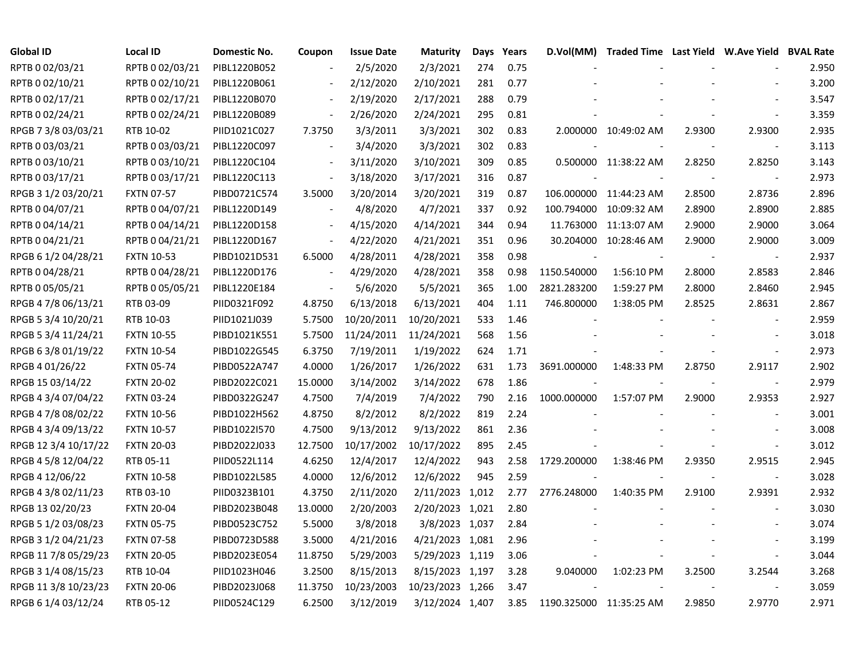| <b>Global ID</b>     | <b>Local ID</b>   | Domestic No. | Coupon                   | <b>Issue Date</b> | <b>Maturity</b>  | Days | Years | D.Vol(MM)                | Traded Time Last Yield W.Ave Yield BVAL Rate |        |                          |       |
|----------------------|-------------------|--------------|--------------------------|-------------------|------------------|------|-------|--------------------------|----------------------------------------------|--------|--------------------------|-------|
| RPTB 0 02/03/21      | RPTB 0 02/03/21   | PIBL1220B052 |                          | 2/5/2020          | 2/3/2021         | 274  | 0.75  |                          |                                              |        |                          | 2.950 |
| RPTB 0 02/10/21      | RPTB 0 02/10/21   | PIBL1220B061 |                          | 2/12/2020         | 2/10/2021        | 281  | 0.77  |                          |                                              |        |                          | 3.200 |
| RPTB 0 02/17/21      | RPTB 0 02/17/21   | PIBL1220B070 |                          | 2/19/2020         | 2/17/2021        | 288  | 0.79  |                          |                                              |        |                          | 3.547 |
| RPTB 0 02/24/21      | RPTB 0 02/24/21   | PIBL1220B089 | $\blacksquare$           | 2/26/2020         | 2/24/2021        | 295  | 0.81  |                          |                                              |        |                          | 3.359 |
| RPGB 7 3/8 03/03/21  | RTB 10-02         | PIID1021C027 | 7.3750                   | 3/3/2011          | 3/3/2021         | 302  | 0.83  |                          | 2.000000 10:49:02 AM                         | 2.9300 | 2.9300                   | 2.935 |
| RPTB 0 03/03/21      | RPTB 0 03/03/21   | PIBL1220C097 | $\omega$                 | 3/4/2020          | 3/3/2021         | 302  | 0.83  |                          |                                              |        |                          | 3.113 |
| RPTB 0 03/10/21      | RPTB 0 03/10/21   | PIBL1220C104 | $\blacksquare$           | 3/11/2020         | 3/10/2021        | 309  | 0.85  |                          | 0.500000 11:38:22 AM                         | 2.8250 | 2.8250                   | 3.143 |
| RPTB 0 03/17/21      | RPTB 0 03/17/21   | PIBL1220C113 | $\overline{\phantom{a}}$ | 3/18/2020         | 3/17/2021        | 316  | 0.87  |                          |                                              |        |                          | 2.973 |
| RPGB 3 1/2 03/20/21  | <b>FXTN 07-57</b> | PIBD0721C574 | 3.5000                   | 3/20/2014         | 3/20/2021        | 319  | 0.87  |                          | 106.000000 11:44:23 AM                       | 2.8500 | 2.8736                   | 2.896 |
| RPTB 0 04/07/21      | RPTB 0 04/07/21   | PIBL1220D149 | $\blacksquare$           | 4/8/2020          | 4/7/2021         | 337  | 0.92  |                          | 100.794000 10:09:32 AM                       | 2.8900 | 2.8900                   | 2.885 |
| RPTB 0 04/14/21      | RPTB 0 04/14/21   | PIBL1220D158 | $\blacksquare$           | 4/15/2020         | 4/14/2021        | 344  | 0.94  |                          | 11.763000 11:13:07 AM                        | 2.9000 | 2.9000                   | 3.064 |
| RPTB 0 04/21/21      | RPTB 0 04/21/21   | PIBL1220D167 | $\overline{\phantom{a}}$ | 4/22/2020         | 4/21/2021        | 351  | 0.96  |                          | 30.204000 10:28:46 AM                        | 2.9000 | 2.9000                   | 3.009 |
| RPGB 6 1/2 04/28/21  | <b>FXTN 10-53</b> | PIBD1021D531 | 6.5000                   | 4/28/2011         | 4/28/2021        | 358  | 0.98  | $\overline{\phantom{a}}$ |                                              |        |                          | 2.937 |
| RPTB 0 04/28/21      | RPTB 0 04/28/21   | PIBL1220D176 | $\sim$                   | 4/29/2020         | 4/28/2021        | 358  | 0.98  | 1150.540000              | 1:56:10 PM                                   | 2.8000 | 2.8583                   | 2.846 |
| RPTB 0 05/05/21      | RPTB 0 05/05/21   | PIBL1220E184 |                          | 5/6/2020          | 5/5/2021         | 365  | 1.00  | 2821.283200              | 1:59:27 PM                                   | 2.8000 | 2.8460                   | 2.945 |
| RPGB 4 7/8 06/13/21  | RTB 03-09         | PIID0321F092 | 4.8750                   | 6/13/2018         | 6/13/2021        | 404  | 1.11  | 746.800000               | 1:38:05 PM                                   | 2.8525 | 2.8631                   | 2.867 |
| RPGB 5 3/4 10/20/21  | RTB 10-03         | PIID1021J039 | 5.7500                   | 10/20/2011        | 10/20/2021       | 533  | 1.46  |                          |                                              |        |                          | 2.959 |
| RPGB 5 3/4 11/24/21  | <b>FXTN 10-55</b> | PIBD1021K551 | 5.7500                   | 11/24/2011        | 11/24/2021       | 568  | 1.56  |                          |                                              |        |                          | 3.018 |
| RPGB 6 3/8 01/19/22  | <b>FXTN 10-54</b> | PIBD1022G545 | 6.3750                   | 7/19/2011         | 1/19/2022        | 624  | 1.71  |                          |                                              |        | $\overline{\phantom{a}}$ | 2.973 |
| RPGB 4 01/26/22      | <b>FXTN 05-74</b> | PIBD0522A747 | 4.0000                   | 1/26/2017         | 1/26/2022        | 631  | 1.73  | 3691.000000              | 1:48:33 PM                                   | 2.8750 | 2.9117                   | 2.902 |
| RPGB 15 03/14/22     | <b>FXTN 20-02</b> | PIBD2022C021 | 15.0000                  | 3/14/2002         | 3/14/2022        | 678  | 1.86  |                          |                                              |        | $\blacksquare$           | 2.979 |
| RPGB 4 3/4 07/04/22  | <b>FXTN 03-24</b> | PIBD0322G247 | 4.7500                   | 7/4/2019          | 7/4/2022         | 790  | 2.16  | 1000.000000              | 1:57:07 PM                                   | 2.9000 | 2.9353                   | 2.927 |
| RPGB 4 7/8 08/02/22  | <b>FXTN 10-56</b> | PIBD1022H562 | 4.8750                   | 8/2/2012          | 8/2/2022         | 819  | 2.24  |                          |                                              |        |                          | 3.001 |
| RPGB 4 3/4 09/13/22  | <b>FXTN 10-57</b> | PIBD1022I570 | 4.7500                   | 9/13/2012         | 9/13/2022        | 861  | 2.36  |                          |                                              |        |                          | 3.008 |
| RPGB 12 3/4 10/17/22 | <b>FXTN 20-03</b> | PIBD2022J033 | 12.7500                  | 10/17/2002        | 10/17/2022       | 895  | 2.45  |                          |                                              |        | $\blacksquare$           | 3.012 |
| RPGB 4 5/8 12/04/22  | RTB 05-11         | PIID0522L114 | 4.6250                   | 12/4/2017         | 12/4/2022        | 943  | 2.58  | 1729.200000              | 1:38:46 PM                                   | 2.9350 | 2.9515                   | 2.945 |
| RPGB 4 12/06/22      | <b>FXTN 10-58</b> | PIBD1022L585 | 4.0000                   | 12/6/2012         | 12/6/2022        | 945  | 2.59  |                          |                                              |        |                          | 3.028 |
| RPGB 4 3/8 02/11/23  | RTB 03-10         | PIID0323B101 | 4.3750                   | 2/11/2020         | 2/11/2023 1,012  |      | 2.77  | 2776.248000              | 1:40:35 PM                                   | 2.9100 | 2.9391                   | 2.932 |
| RPGB 13 02/20/23     | <b>FXTN 20-04</b> | PIBD2023B048 | 13.0000                  | 2/20/2003         | 2/20/2023 1,021  |      | 2.80  |                          |                                              |        |                          | 3.030 |
| RPGB 5 1/2 03/08/23  | <b>FXTN 05-75</b> | PIBD0523C752 | 5.5000                   | 3/8/2018          | 3/8/2023 1,037   |      | 2.84  |                          |                                              |        |                          | 3.074 |
| RPGB 3 1/2 04/21/23  | <b>FXTN 07-58</b> | PIBD0723D588 | 3.5000                   | 4/21/2016         | 4/21/2023 1,081  |      | 2.96  |                          |                                              |        |                          | 3.199 |
| RPGB 11 7/8 05/29/23 | <b>FXTN 20-05</b> | PIBD2023E054 | 11.8750                  | 5/29/2003         | 5/29/2023 1,119  |      | 3.06  |                          |                                              |        |                          | 3.044 |
| RPGB 3 1/4 08/15/23  | RTB 10-04         | PIID1023H046 | 3.2500                   | 8/15/2013         | 8/15/2023 1,197  |      | 3.28  | 9.040000                 | 1:02:23 PM                                   | 3.2500 | 3.2544                   | 3.268 |
| RPGB 11 3/8 10/23/23 | <b>FXTN 20-06</b> | PIBD2023J068 | 11.3750                  | 10/23/2003        | 10/23/2023 1,266 |      | 3.47  |                          |                                              |        |                          | 3.059 |
| RPGB 6 1/4 03/12/24  | RTB 05-12         | PIID0524C129 | 6.2500                   | 3/12/2019         | 3/12/2024 1,407  |      | 3.85  | 1190.325000 11:35:25 AM  |                                              | 2.9850 | 2.9770                   | 2.971 |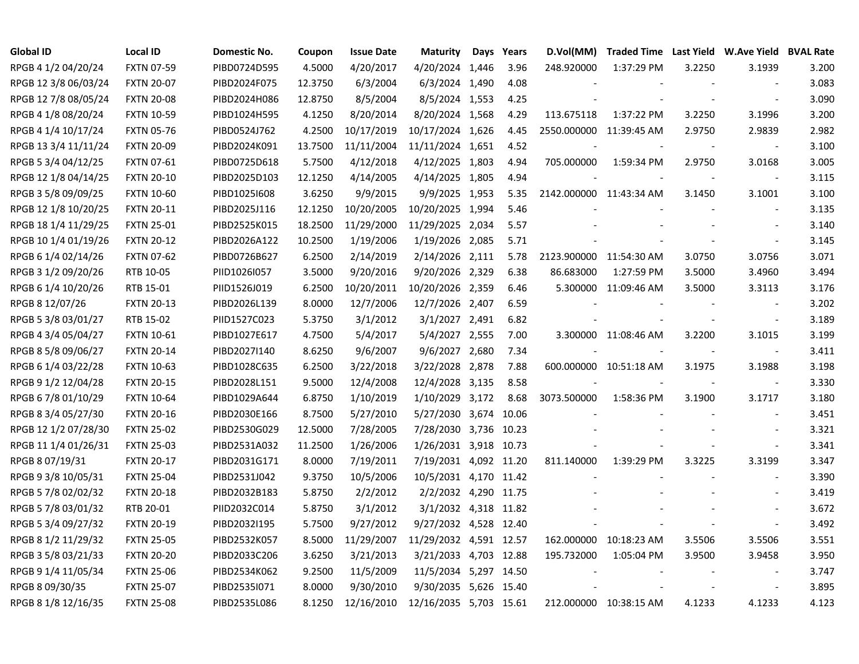| <b>Global ID</b>     | <b>Local ID</b>   | Domestic No. | Coupon  | <b>Issue Date</b> | <b>Maturity</b>        | Days | Years | D.Vol(MM)               |                        |        | Traded Time Last Yield W.Ave Yield BVAL Rate |       |
|----------------------|-------------------|--------------|---------|-------------------|------------------------|------|-------|-------------------------|------------------------|--------|----------------------------------------------|-------|
| RPGB 4 1/2 04/20/24  | <b>FXTN 07-59</b> | PIBD0724D595 | 4.5000  | 4/20/2017         | 4/20/2024 1,446        |      | 3.96  | 248.920000              | 1:37:29 PM             | 3.2250 | 3.1939                                       | 3.200 |
| RPGB 12 3/8 06/03/24 | <b>FXTN 20-07</b> | PIBD2024F075 | 12.3750 | 6/3/2004          | 6/3/2024 1,490         |      | 4.08  |                         |                        |        | $\sim$                                       | 3.083 |
| RPGB 12 7/8 08/05/24 | <b>FXTN 20-08</b> | PIBD2024H086 | 12.8750 | 8/5/2004          | 8/5/2024 1,553         |      | 4.25  |                         |                        |        | $\sim$                                       | 3.090 |
| RPGB 4 1/8 08/20/24  | <b>FXTN 10-59</b> | PIBD1024H595 | 4.1250  | 8/20/2014         | 8/20/2024 1,568        |      | 4.29  | 113.675118              | 1:37:22 PM             | 3.2250 | 3.1996                                       | 3.200 |
| RPGB 4 1/4 10/17/24  | <b>FXTN 05-76</b> | PIBD0524J762 | 4.2500  | 10/17/2019        | 10/17/2024 1,626       |      | 4.45  | 2550.000000 11:39:45 AM |                        | 2.9750 | 2.9839                                       | 2.982 |
| RPGB 13 3/4 11/11/24 | <b>FXTN 20-09</b> | PIBD2024K091 | 13.7500 | 11/11/2004        | 11/11/2024 1,651       |      | 4.52  |                         |                        |        | $\blacksquare$                               | 3.100 |
| RPGB 5 3/4 04/12/25  | <b>FXTN 07-61</b> | PIBD0725D618 | 5.7500  | 4/12/2018         | 4/12/2025 1,803        |      | 4.94  | 705.000000              | 1:59:34 PM             | 2.9750 | 3.0168                                       | 3.005 |
| RPGB 12 1/8 04/14/25 | <b>FXTN 20-10</b> | PIBD2025D103 | 12.1250 | 4/14/2005         | 4/14/2025 1,805        |      | 4.94  |                         |                        |        | $\overline{\phantom{a}}$                     | 3.115 |
| RPGB 3 5/8 09/09/25  | <b>FXTN 10-60</b> | PIBD1025I608 | 3.6250  | 9/9/2015          | 9/9/2025 1,953         |      | 5.35  | 2142.000000 11:43:34 AM |                        | 3.1450 | 3.1001                                       | 3.100 |
| RPGB 12 1/8 10/20/25 | <b>FXTN 20-11</b> | PIBD2025J116 | 12.1250 | 10/20/2005        | 10/20/2025 1,994       |      | 5.46  |                         |                        |        | $\overline{\phantom{a}}$                     | 3.135 |
| RPGB 18 1/4 11/29/25 | <b>FXTN 25-01</b> | PIBD2525K015 | 18.2500 | 11/29/2000        | 11/29/2025 2,034       |      | 5.57  |                         |                        |        | $\overline{\phantom{a}}$                     | 3.140 |
| RPGB 10 1/4 01/19/26 | <b>FXTN 20-12</b> | PIBD2026A122 | 10.2500 | 1/19/2006         | 1/19/2026 2,085        |      | 5.71  |                         |                        |        | $\blacksquare$                               | 3.145 |
| RPGB 6 1/4 02/14/26  | <b>FXTN 07-62</b> | PIBD0726B627 | 6.2500  | 2/14/2019         | 2/14/2026 2,111        |      | 5.78  | 2123.900000 11:54:30 AM |                        | 3.0750 | 3.0756                                       | 3.071 |
| RPGB 3 1/2 09/20/26  | RTB 10-05         | PIID1026I057 | 3.5000  | 9/20/2016         | 9/20/2026 2,329        |      | 6.38  | 86.683000               | 1:27:59 PM             | 3.5000 | 3.4960                                       | 3.494 |
| RPGB 6 1/4 10/20/26  | RTB 15-01         | PIID1526J019 | 6.2500  | 10/20/2011        | 10/20/2026 2,359       |      | 6.46  |                         | 5.300000 11:09:46 AM   | 3.5000 | 3.3113                                       | 3.176 |
| RPGB 8 12/07/26      | <b>FXTN 20-13</b> | PIBD2026L139 | 8.0000  | 12/7/2006         | 12/7/2026 2,407        |      | 6.59  |                         |                        |        |                                              | 3.202 |
| RPGB 5 3/8 03/01/27  | RTB 15-02         | PIID1527C023 | 5.3750  | 3/1/2012          | 3/1/2027 2,491         |      | 6.82  |                         |                        |        | $\overline{\phantom{a}}$                     | 3.189 |
| RPGB 4 3/4 05/04/27  | <b>FXTN 10-61</b> | PIBD1027E617 | 4.7500  | 5/4/2017          | 5/4/2027 2,555         |      | 7.00  |                         | 3.300000 11:08:46 AM   | 3.2200 | 3.1015                                       | 3.199 |
| RPGB 8 5/8 09/06/27  | <b>FXTN 20-14</b> | PIBD2027I140 | 8.6250  | 9/6/2007          | 9/6/2027 2,680         |      | 7.34  |                         |                        |        | $\overline{\phantom{a}}$                     | 3.411 |
| RPGB 6 1/4 03/22/28  | <b>FXTN 10-63</b> | PIBD1028C635 | 6.2500  | 3/22/2018         | 3/22/2028 2,878        |      | 7.88  |                         | 600.000000 10:51:18 AM | 3.1975 | 3.1988                                       | 3.198 |
| RPGB 9 1/2 12/04/28  | <b>FXTN 20-15</b> | PIBD2028L151 | 9.5000  | 12/4/2008         | 12/4/2028 3,135        |      | 8.58  |                         |                        |        | $\sim$                                       | 3.330 |
| RPGB 6 7/8 01/10/29  | <b>FXTN 10-64</b> | PIBD1029A644 | 6.8750  | 1/10/2019         | 1/10/2029 3,172        |      | 8.68  | 3073.500000             | 1:58:36 PM             | 3.1900 | 3.1717                                       | 3.180 |
| RPGB 8 3/4 05/27/30  | <b>FXTN 20-16</b> | PIBD2030E166 | 8.7500  | 5/27/2010         | 5/27/2030 3,674 10.06  |      |       |                         |                        |        | $\blacksquare$                               | 3.451 |
| RPGB 12 1/2 07/28/30 | <b>FXTN 25-02</b> | PIBD2530G029 | 12.5000 | 7/28/2005         | 7/28/2030 3,736 10.23  |      |       |                         |                        |        | $\overline{\phantom{a}}$                     | 3.321 |
| RPGB 11 1/4 01/26/31 | <b>FXTN 25-03</b> | PIBD2531A032 | 11.2500 | 1/26/2006         | 1/26/2031 3,918 10.73  |      |       |                         |                        |        | $\blacksquare$                               | 3.341 |
| RPGB 8 07/19/31      | <b>FXTN 20-17</b> | PIBD2031G171 | 8.0000  | 7/19/2011         | 7/19/2031 4,092 11.20  |      |       | 811.140000              | 1:39:29 PM             | 3.3225 | 3.3199                                       | 3.347 |
| RPGB 9 3/8 10/05/31  | <b>FXTN 25-04</b> | PIBD2531J042 | 9.3750  | 10/5/2006         | 10/5/2031 4,170 11.42  |      |       |                         |                        |        | $\sim$                                       | 3.390 |
| RPGB 5 7/8 02/02/32  | <b>FXTN 20-18</b> | PIBD2032B183 | 5.8750  | 2/2/2012          | 2/2/2032 4,290 11.75   |      |       |                         |                        |        |                                              | 3.419 |
| RPGB 5 7/8 03/01/32  | RTB 20-01         | PIID2032C014 | 5.8750  | 3/1/2012          | 3/1/2032 4,318 11.82   |      |       |                         |                        |        |                                              | 3.672 |
| RPGB 5 3/4 09/27/32  | <b>FXTN 20-19</b> | PIBD2032I195 | 5.7500  | 9/27/2012         | 9/27/2032 4,528 12.40  |      |       |                         |                        |        | $\blacksquare$                               | 3.492 |
| RPGB 8 1/2 11/29/32  | <b>FXTN 25-05</b> | PIBD2532K057 | 8.5000  | 11/29/2007        | 11/29/2032 4,591 12.57 |      |       |                         | 162.000000 10:18:23 AM | 3.5506 | 3.5506                                       | 3.551 |
| RPGB 3 5/8 03/21/33  | <b>FXTN 20-20</b> | PIBD2033C206 | 3.6250  | 3/21/2013         | 3/21/2033 4,703 12.88  |      |       | 195.732000              | 1:05:04 PM             | 3.9500 | 3.9458                                       | 3.950 |
| RPGB 9 1/4 11/05/34  | <b>FXTN 25-06</b> | PIBD2534K062 | 9.2500  | 11/5/2009         | 11/5/2034 5,297 14.50  |      |       |                         |                        |        | $\overline{\phantom{a}}$                     | 3.747 |
| RPGB 8 09/30/35      | <b>FXTN 25-07</b> | PIBD2535I071 | 8.0000  | 9/30/2010         | 9/30/2035 5,626 15.40  |      |       |                         |                        |        | $\overline{\phantom{a}}$                     | 3.895 |
| RPGB 8 1/8 12/16/35  | <b>FXTN 25-08</b> | PIBD2535L086 | 8.1250  | 12/16/2010        | 12/16/2035 5,703 15.61 |      |       |                         | 212.000000 10:38:15 AM | 4.1233 | 4.1233                                       | 4.123 |